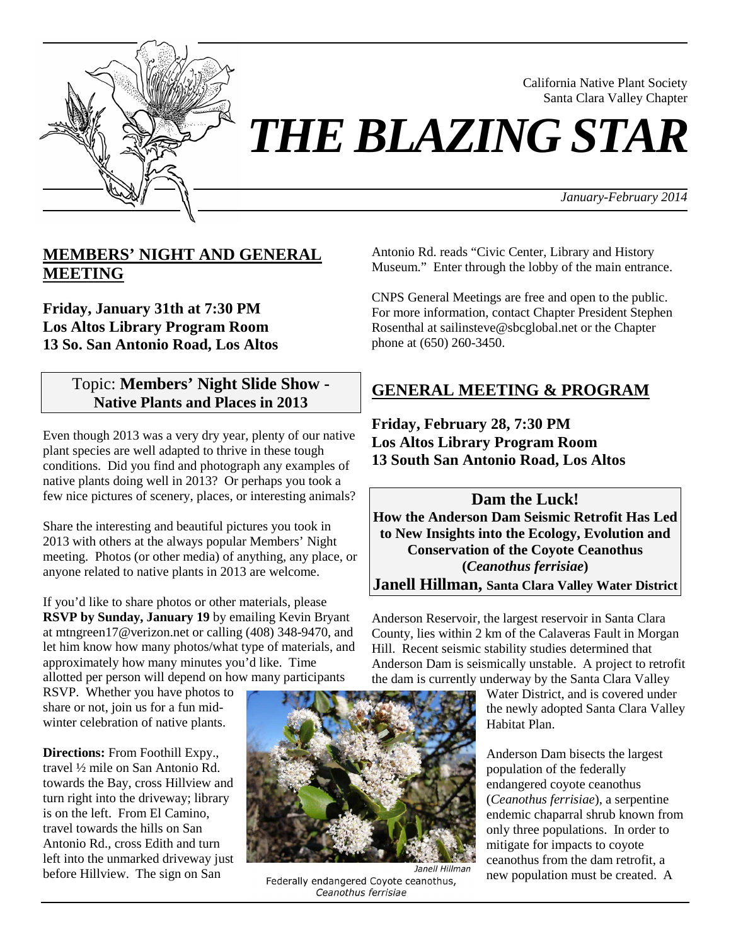

California Native Plant Society Santa Clara Valley Chapter

*THE BLAZING STAR*

*January-February 2014*

## **MEMBERS' NIGHT AND GENERAL MEETING**

**Friday, January 31th at 7:30 PM Los Altos Library Program Room 13 So. San Antonio Road, Los Altos**

## Topic: **Members' Night Slide Show - Native Plants and Places in 2013**

Even though 2013 was a very dry year, plenty of our native plant species are well adapted to thrive in these tough conditions. Did you find and photograph any examples of native plants doing well in 2013? Or perhaps you took a few nice pictures of scenery, places, or interesting animals?

Share the interesting and beautiful pictures you took in 2013 with others at the always popular Members' Night meeting. Photos (or other media) of anything, any place, or anyone related to native plants in 2013 are welcome.

If you'd like to share photos or other materials, please **RSVP by Sunday, January 19** by emailing Kevin Bryant at mtngreen17@verizon.net or calling (408) 348-9470, and let him know how many photos/what type of materials, and approximately how many minutes you'd like. Time allotted per person will depend on how many participants

RSVP. Whether you have photos to share or not, join us for a fun midwinter celebration of native plants.

**Directions:** From Foothill Expy., travel ½ mile on San Antonio Rd. towards the Bay, cross Hillview and turn right into the driveway; library is on the left. From El Camino, travel towards the hills on San Antonio Rd., cross Edith and turn left into the unmarked driveway just before Hillview. The sign on San



Federally endangered Coyote ceanothus, Ceanothus ferrisiae

Antonio Rd. reads "Civic Center, Library and History Museum." Enter through the lobby of the main entrance.

CNPS General Meetings are free and open to the public. For more information, contact Chapter President Stephen Rosenthal at sailinsteve@sbcglobal.net or the Chapter phone at (650) 260-3450.

# **GENERAL MEETING & PROGRAM**

**Friday, February 28, 7:30 PM Los Altos Library Program Room 13 South San Antonio Road, Los Altos**

**Dam the Luck! How the Anderson Dam Seismic Retrofit Has Led to New Insights into the Ecology, Evolution and Conservation of the Coyote Ceanothus (***Ceanothus ferrisiae***) Janell Hillman, Santa Clara Valley Water District**

Anderson Reservoir, the largest reservoir in Santa Clara County, lies within 2 km of the Calaveras Fault in Morgan Hill. Recent seismic stability studies determined that Anderson Dam is seismically unstable. A project to retrofit the dam is currently underway by the Santa Clara Valley

Water District, and is covered under the newly adopted Santa Clara Valley Habitat Plan.

Anderson Dam bisects the largest population of the federally endangered coyote ceanothus (*Ceanothus ferrisiae*), a serpentine endemic chaparral shrub known from only three populations. In order to mitigate for impacts to coyote ceanothus from the dam retrofit, a new population must be created. A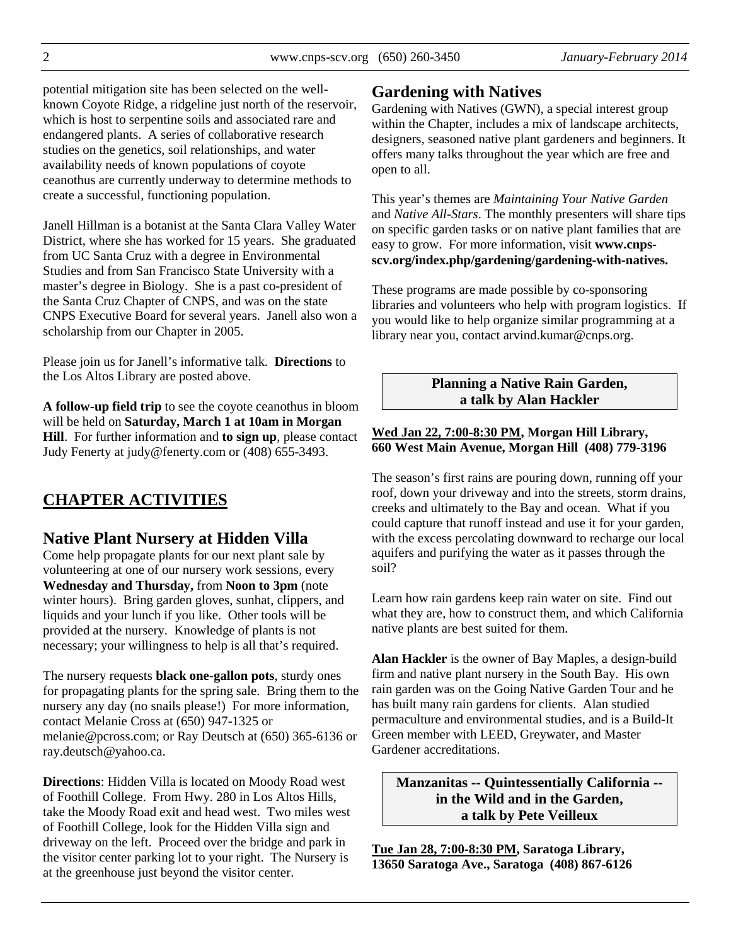potential mitigation site has been selected on the wellknown Coyote Ridge, a ridgeline just north of the reservoir, which is host to serpentine soils and associated rare and endangered plants. A series of collaborative research studies on the genetics, soil relationships, and water availability needs of known populations of coyote ceanothus are currently underway to determine methods to create a successful, functioning population.

Janell Hillman is a botanist at the Santa Clara Valley Water District, where she has worked for 15 years. She graduated from UC Santa Cruz with a degree in Environmental Studies and from San Francisco State University with a master's degree in Biology. She is a past co-president of the Santa Cruz Chapter of CNPS, and was on the state CNPS Executive Board for several years. Janell also won a scholarship from our Chapter in 2005.

Please join us for Janell's informative talk. **Directions** to the Los Altos Library are posted above.

**A follow-up field trip** to see the coyote ceanothus in bloom will be held on **Saturday, March 1 at 10am in Morgan Hill**. For further information and **to sign up**, please contact Judy Fenerty at judy@fenerty.com or (408) 655-3493.

# **CHAPTER ACTIVITIES**

## **Native Plant Nursery at Hidden Villa**

Come help propagate plants for our next plant sale by volunteering at one of our nursery work sessions, every **Wednesday and Thursday,** from **Noon to 3pm** (note winter hours). Bring garden gloves, sunhat, clippers, and liquids and your lunch if you like. Other tools will be provided at the nursery. Knowledge of plants is not necessary; your willingness to help is all that's required.

The nursery requests **black one-gallon pots**, sturdy ones for propagating plants for the spring sale. Bring them to the nursery any day (no snails please!) For more information, contact Melanie Cross at (650) 947-1325 or melanie@pcross.com; or Ray Deutsch at (650) 365-6136 or ray.deutsch@yahoo.ca.

**Directions**: Hidden Villa is located on Moody Road west of Foothill College. From Hwy. 280 in Los Altos Hills, take the Moody Road exit and head west. Two miles west of Foothill College, look for the Hidden Villa sign and driveway on the left. Proceed over the bridge and park in the visitor center parking lot to your right. The Nursery is at the greenhouse just beyond the visitor center.

## **Gardening with Natives**

Gardening with Natives (GWN), a special interest group within the Chapter, includes a mix of landscape architects, designers, seasoned native plant gardeners and beginners. It offers many talks throughout the year which are free and open to all.

This year's themes are *Maintaining Your Native Garden* and *Native All-Stars*. The monthly presenters will share tips on specific garden tasks or on native plant families that are easy to grow. For more information, visit **www.cnpsscv.org/index.php/gardening/gardening-with-natives.**

These programs are made possible by co-sponsoring libraries and volunteers who help with program logistics. If you would like to help organize similar programming at a library near you, contact arvind.kumar@cnps.org.

### **Planning a Native Rain Garden, a talk by Alan Hackler**

#### **Wed Jan 22, 7:00-8:30 PM, Morgan Hill Library, 660 West Main Avenue, Morgan Hill (408) 779-3196**

The season's first rains are pouring down, running off your roof, down your driveway and into the streets, storm drains, creeks and ultimately to the Bay and ocean. What if you could capture that runoff instead and use it for your garden, with the excess percolating downward to recharge our local aquifers and purifying the water as it passes through the soil?

Learn how rain gardens keep rain water on site. Find out what they are, how to construct them, and which California native plants are best suited for them.

**Alan Hackler** is the owner of Bay Maples, a design-build firm and native plant nursery in the South Bay. His own rain garden was on the Going Native Garden Tour and he has built many rain gardens for clients. Alan studied permaculture and environmental studies, and is a Build-It Green member with LEED, Greywater, and Master Gardener accreditations.

**Manzanitas -- Quintessentially California - in the Wild and in the Garden, a talk by Pete Veilleux** 

**Tue Jan 28, 7:00-8:30 PM, Saratoga Library, 13650 Saratoga Ave., Saratoga (408) 867-6126**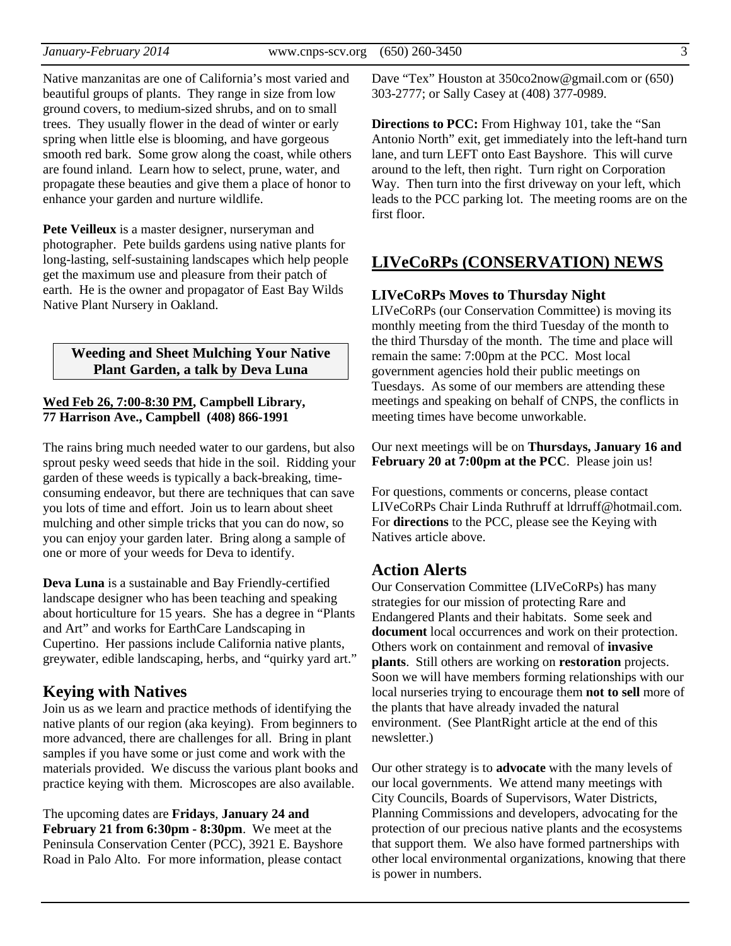Native manzanitas are one of California's most varied and beautiful groups of plants. They range in size from low ground covers, to medium-sized shrubs, and on to small trees. They usually flower in the dead of winter or early spring when little else is blooming, and have gorgeous smooth red bark. Some grow along the coast, while others are found inland. Learn how to select, prune, water, and propagate these beauties and give them a place of honor to enhance your garden and nurture wildlife.

**Pete Veilleux** is a master designer, nurseryman and photographer. Pete builds gardens using native plants for long-lasting, self-sustaining landscapes which help people get the maximum use and pleasure from their patch of earth. He is the owner and propagator of East Bay Wilds Native Plant Nursery in Oakland.

#### **Weeding and Sheet Mulching Your Native Plant Garden, a talk by Deva Luna**

#### **Wed Feb 26, 7:00-8:30 PM, Campbell Library, 77 Harrison Ave., Campbell (408) 866-1991**

The rains bring much needed water to our gardens, but also sprout pesky weed seeds that hide in the soil. Ridding your garden of these weeds is typically a back-breaking, timeconsuming endeavor, but there are techniques that can save you lots of time and effort. Join us to learn about sheet mulching and other simple tricks that you can do now, so you can enjoy your garden later. Bring along a sample of one or more of your weeds for Deva to identify.

**Deva Luna** is a sustainable and Bay Friendly-certified landscape designer who has been teaching and speaking about horticulture for 15 years. She has a degree in "Plants and Art" and works for EarthCare Landscaping in Cupertino. Her passions include California native plants, greywater, edible landscaping, herbs, and "quirky yard art."

## **Keying with Natives**

Join us as we learn and practice methods of identifying the native plants of our region (aka keying). From beginners to more advanced, there are challenges for all. Bring in plant samples if you have some or just come and work with the materials provided. We discuss the various plant books and practice keying with them. Microscopes are also available.

The upcoming dates are **Fridays**, **January 24 and February 21 from 6:30pm - 8:30pm**. We meet at the Peninsula Conservation Center (PCC), 3921 E. Bayshore Road in Palo Alto. For more information, please contact Dave "Tex" Houston at 350co2now@gmail.com or (650) 303-2777; or Sally Casey at (408) 377-0989.

**Directions to PCC:** From Highway 101, take the "San Antonio North" exit, get immediately into the left-hand turn lane, and turn LEFT onto East Bayshore. This will curve around to the left, then right. Turn right on Corporation Way. Then turn into the first driveway on your left, which leads to the PCC parking lot. The meeting rooms are on the first floor.

## **LIVeCoRPs (CONSERVATION) NEWS**

#### **LIVeCoRPs Moves to Thursday Night**

LIVeCoRPs (our Conservation Committee) is moving its monthly meeting from the third Tuesday of the month to the third Thursday of the month. The time and place will remain the same: 7:00pm at the PCC. Most local government agencies hold their public meetings on Tuesdays. As some of our members are attending these meetings and speaking on behalf of CNPS, the conflicts in meeting times have become unworkable.

Our next meetings will be on **Thursdays, January 16 and February 20 at 7:00pm at the PCC**. Please join us!

For questions, comments or concerns, please contact LIVeCoRPs Chair Linda Ruthruff at ldrruff@hotmail.com. For **directions** to the PCC, please see the Keying with Natives article above.

#### **Action Alerts**

Our Conservation Committee (LIVeCoRPs) has many strategies for our mission of protecting Rare and Endangered Plants and their habitats. Some seek and **document** local occurrences and work on their protection. Others work on containment and removal of **invasive plants**. Still others are working on **restoration** projects. Soon we will have members forming relationships with our local nurseries trying to encourage them **not to sell** more of the plants that have already invaded the natural environment. (See PlantRight article at the end of this newsletter.)

Our other strategy is to **advocate** with the many levels of our local governments. We attend many meetings with City Councils, Boards of Supervisors, Water Districts, Planning Commissions and developers, advocating for the protection of our precious native plants and the ecosystems that support them. We also have formed partnerships with other local environmental organizations, knowing that there is power in numbers.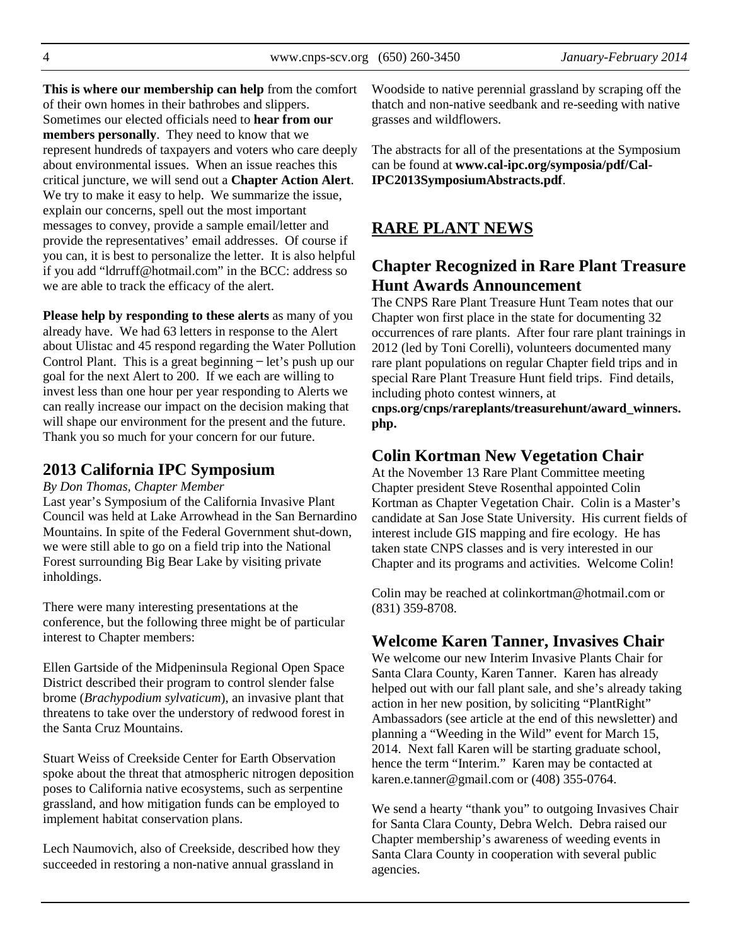**This is where our membership can help** from the comfort of their own homes in their bathrobes and slippers. Sometimes our elected officials need to **hear from our members personally**. They need to know that we represent hundreds of taxpayers and voters who care deeply about environmental issues. When an issue reaches this critical juncture, we will send out a **Chapter Action Alert**. We try to make it easy to help. We summarize the issue, explain our concerns, spell out the most important messages to convey, provide a sample email/letter and provide the representatives' email addresses. Of course if you can, it is best to personalize the letter. It is also helpful if you add "ldrruff@hotmail.com" in the BCC: address so we are able to track the efficacy of the alert.

**Please help by responding to these alerts** as many of you already have. We had 63 letters in response to the Alert about Ulistac and 45 respond regarding the Water Pollution Control Plant. This is a great beginning  $-\text{let's push up our}$ goal for the next Alert to 200. If we each are willing to invest less than one hour per year responding to Alerts we can really increase our impact on the decision making that will shape our environment for the present and the future. Thank you so much for your concern for our future.

#### **2013 California IPC Symposium**

#### *By Don Thomas, Chapter Member*

Last year's Symposium of the California Invasive Plant Council was held at Lake Arrowhead in the San Bernardino Mountains. In spite of the Federal Government shut-down, we were still able to go on a field trip into the National Forest surrounding Big Bear Lake by visiting private inholdings.

There were many interesting presentations at the conference, but the following three might be of particular interest to Chapter members:

Ellen Gartside of the Midpeninsula Regional Open Space District described their program to control slender false brome (*Brachypodium sylvaticum*), an invasive plant that threatens to take over the understory of redwood forest in the Santa Cruz Mountains.

Stuart Weiss of Creekside Center for Earth Observation spoke about the threat that atmospheric nitrogen deposition poses to California native ecosystems, such as serpentine grassland, and how mitigation funds can be employed to implement habitat conservation plans.

Lech Naumovich, also of Creekside, described how they succeeded in restoring a non-native annual grassland in

Woodside to native perennial grassland by scraping off the thatch and non-native seedbank and re-seeding with native grasses and wildflowers.

The abstracts for all of the presentations at the Symposium can be found at **www.cal-ipc.org/symposia/pdf/Cal-IPC2013SymposiumAbstracts.pdf**.

#### **RARE PLANT NEWS**

## **Chapter Recognized in Rare Plant Treasure Hunt Awards Announcement**

The CNPS Rare Plant Treasure Hunt Team notes that our Chapter won first place in the state for documenting 32 occurrences of rare plants. After four rare plant trainings in 2012 (led by Toni Corelli), volunteers documented many rare plant populations on regular Chapter field trips and in special Rare Plant Treasure Hunt field trips. Find details, including photo contest winners, at

**cnps.org/cnps/rareplants/treasurehunt/award\_winners. php.** 

### **Colin Kortman New Vegetation Chair**

At the November 13 Rare Plant Committee meeting Chapter president Steve Rosenthal appointed Colin Kortman as Chapter Vegetation Chair. Colin is a Master's candidate at San Jose State University. His current fields of interest include GIS mapping and fire ecology. He has taken state CNPS classes and is very interested in our Chapter and its programs and activities. Welcome Colin!

Colin may be reached at colinkortman@hotmail.com or (831) 359-8708.

#### **Welcome Karen Tanner, Invasives Chair**

We welcome our new Interim Invasive Plants Chair for Santa Clara County, Karen Tanner. Karen has already helped out with our fall plant sale, and she's already taking action in her new position, by soliciting "PlantRight" Ambassadors (see article at the end of this newsletter) and planning a "Weeding in the Wild" event for March 15, 2014. Next fall Karen will be starting graduate school, hence the term "Interim." Karen may be contacted at karen.e.tanner@gmail.com or (408) 355-0764.

We send a hearty "thank you" to outgoing Invasives Chair for Santa Clara County, Debra Welch. Debra raised our Chapter membership's awareness of weeding events in Santa Clara County in cooperation with several public agencies.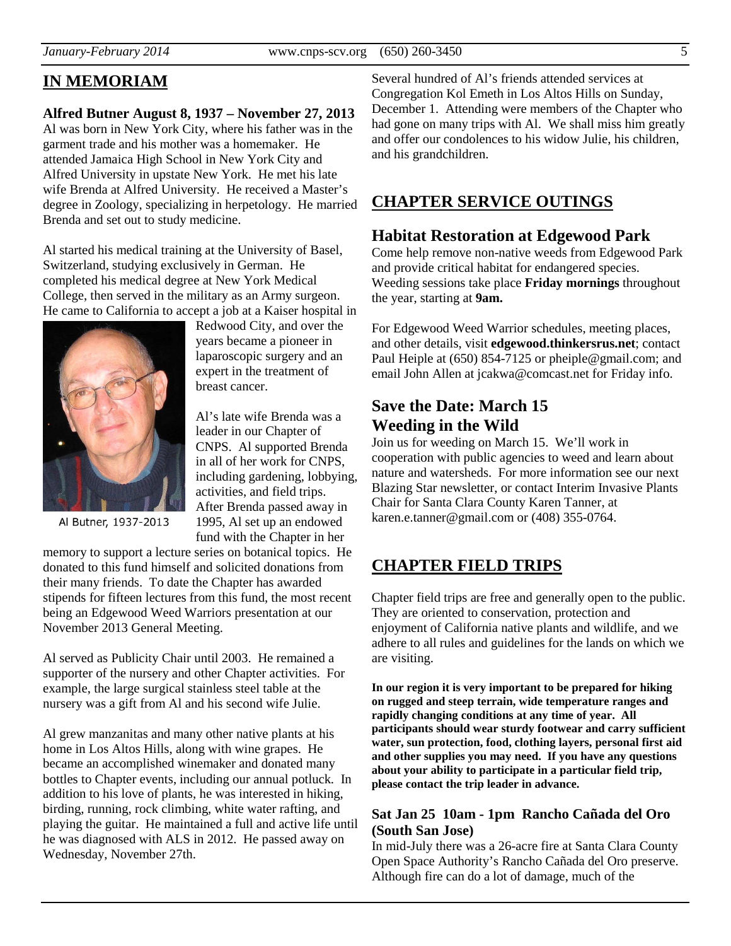## **IN MEMORIAM**

## **Alfred Butner August 8, 1937 – November 27, 2013**

Al was born in New York City, where his father was in the garment trade and his mother was a homemaker. He attended Jamaica High School in New York City and Alfred University in upstate New York. He met his late wife Brenda at Alfred University. He received a Master's degree in Zoology, specializing in herpetology. He married Brenda and set out to study medicine.

Al started his medical training at the University of Basel, Switzerland, studying exclusively in German. He completed his medical degree at New York Medical College, then served in the military as an Army surgeon. He came to California to accept a job at a Kaiser hospital in



Redwood City, and over the years became a pioneer in laparoscopic surgery and an expert in the treatment of breast cancer.

Al's late wife Brenda was a leader in our Chapter of CNPS. Al supported Brenda in all of her work for CNPS, including gardening, lobbying, activities, and field trips. After Brenda passed away in 1995, Al set up an endowed fund with the Chapter in her

Al Butner, 1937-2013

memory to support a lecture series on botanical topics. He donated to this fund himself and solicited donations from their many friends. To date the Chapter has awarded stipends for fifteen lectures from this fund, the most recent being an Edgewood Weed Warriors presentation at our November 2013 General Meeting.

Al served as Publicity Chair until 2003. He remained a supporter of the nursery and other Chapter activities. For example, the large surgical stainless steel table at the nursery was a gift from Al and his second wife Julie.

Al grew manzanitas and many other native plants at his home in Los Altos Hills, along with wine grapes. He became an accomplished winemaker and donated many bottles to Chapter events, including our annual potluck. In addition to his love of plants, he was interested in hiking, birding, running, rock climbing, white water rafting, and playing the guitar. He maintained a full and active life until he was diagnosed with ALS in 2012. He passed away on Wednesday, November 27th.

Several hundred of Al's friends attended services at Congregation Kol Emeth in Los Altos Hills on Sunday, December 1. Attending were members of the Chapter who had gone on many trips with Al. We shall miss him greatly and offer our condolences to his widow Julie, his children, and his grandchildren.

## **CHAPTER SERVICE OUTINGS**

## **Habitat Restoration at Edgewood Park**

Come help remove non-native weeds from Edgewood Park and provide critical habitat for endangered species. Weeding sessions take place **Friday mornings** throughout the year, starting at **9am.**

For Edgewood Weed Warrior schedules, meeting places, and other details, visit **edgewood.thinkersrus.net**; contact Paul Heiple at (650) 854-7125 or pheiple@gmail.com; and email John Allen at jcakwa@comcast.net for Friday info.

## **Save the Date: March 15 Weeding in the Wild**

Join us for weeding on March 15. We'll work in cooperation with public agencies to weed and learn about nature and watersheds. For more information see our next Blazing Star newsletter, or contact Interim Invasive Plants Chair for Santa Clara County Karen Tanner, at karen.e.tanner@gmail.com or (408) 355-0764.

## **CHAPTER FIELD TRIPS**

Chapter field trips are free and generally open to the public. They are oriented to conservation, protection and enjoyment of California native plants and wildlife, and we adhere to all rules and guidelines for the lands on which we are visiting.

**In our region it is very important to be prepared for hiking on rugged and steep terrain, wide temperature ranges and rapidly changing conditions at any time of year. All participants should wear sturdy footwear and carry sufficient water, sun protection, food, clothing layers, personal first aid and other supplies you may need. If you have any questions about your ability to participate in a particular field trip, please contact the trip leader in advance.** 

#### **Sat Jan 25 10am - 1pm Rancho Cañada del Oro (South San Jose)**

In mid-July there was a 26-acre fire at Santa Clara County Open Space Authority's Rancho Cañada del Oro preserve. Although fire can do a lot of damage, much of the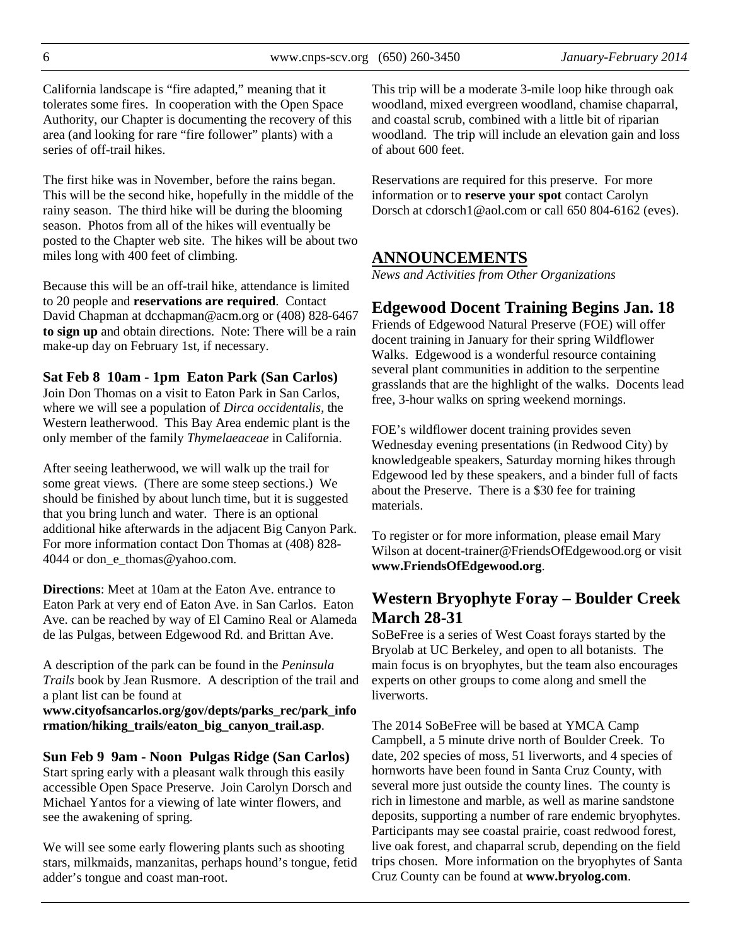California landscape is "fire adapted," meaning that it tolerates some fires. In cooperation with the Open Space Authority, our Chapter is documenting the recovery of this area (and looking for rare "fire follower" plants) with a series of off-trail hikes.

The first hike was in November, before the rains began. This will be the second hike, hopefully in the middle of the rainy season. The third hike will be during the blooming season. Photos from all of the hikes will eventually be posted to the Chapter web site. The hikes will be about two miles long with 400 feet of climbing.

Because this will be an off-trail hike, attendance is limited to 20 people and **reservations are required**. Contact David Chapman at dcchapman@acm.org or (408) 828-6467 **to sign up** and obtain directions. Note: There will be a rain make-up day on February 1st, if necessary.

**Sat Feb 8 10am - 1pm Eaton Park (San Carlos)**  Join Don Thomas on a visit to Eaton Park in San Carlos, where we will see a population of *Dirca occidentalis*, the Western leatherwood. This Bay Area endemic plant is the

only member of the family *Thymelaeaceae* in California. After seeing leatherwood, we will walk up the trail for some great views. (There are some steep sections.) We should be finished by about lunch time, but it is suggested that you bring lunch and water. There is an optional additional hike afterwards in the adjacent Big Canyon Park. For more information contact Don Thomas at (408) 828- 4044 or don e thomas@yahoo.com.

**Directions**: Meet at 10am at the Eaton Ave. entrance to Eaton Park at very end of Eaton Ave. in San Carlos. Eaton Ave. can be reached by way of El Camino Real or Alameda de las Pulgas, between Edgewood Rd. and Brittan Ave.

A description of the park can be found in the *Peninsula Trails* book by Jean Rusmore. A description of the trail and a plant list can be found at

**www.cityofsancarlos.org/gov/depts/parks\_rec/park\_info rmation/hiking\_trails/eaton\_big\_canyon\_trail.asp**.

**Sun Feb 9 9am - Noon Pulgas Ridge (San Carlos)**  Start spring early with a pleasant walk through this easily accessible Open Space Preserve. Join Carolyn Dorsch and Michael Yantos for a viewing of late winter flowers, and see the awakening of spring.

We will see some early flowering plants such as shooting stars, milkmaids, manzanitas, perhaps hound's tongue, fetid adder's tongue and coast man-root.

This trip will be a moderate 3-mile loop hike through oak woodland, mixed evergreen woodland, chamise chaparral, and coastal scrub, combined with a little bit of riparian woodland. The trip will include an elevation gain and loss of about 600 feet.

Reservations are required for this preserve. For more information or to **reserve your spot** contact Carolyn Dorsch at cdorsch1@aol.com or call 650 804-6162 (eves).

# **ANNOUNCEMENTS**

*News and Activities from Other Organizations* 

# **Edgewood Docent Training Begins Jan. 18**

Friends of Edgewood Natural Preserve (FOE) will offer docent training in January for their spring Wildflower Walks. Edgewood is a wonderful resource containing several plant communities in addition to the serpentine grasslands that are the highlight of the walks. Docents lead free, 3-hour walks on spring weekend mornings.

FOE's wildflower docent training provides seven Wednesday evening presentations (in Redwood City) by knowledgeable speakers, Saturday morning hikes through Edgewood led by these speakers, and a binder full of facts about the Preserve. There is a \$30 fee for training materials.

To register or for more information, please email Mary Wilson at docent-trainer@FriendsOfEdgewood.org or visit **www.FriendsOfEdgewood.org**.

# **Western Bryophyte Foray – Boulder Creek March 28-31**

SoBeFree is a series of West Coast forays started by the Bryolab at UC Berkeley, and open to all botanists. The main focus is on bryophytes, but the team also encourages experts on other groups to come along and smell the liverworts.

The 2014 SoBeFree will be based at YMCA Camp Campbell, a 5 minute drive north of Boulder Creek. To date, 202 species of moss, 51 liverworts, and 4 species of hornworts have been found in Santa Cruz County, with several more just outside the county lines. The county is rich in limestone and marble, as well as marine sandstone deposits, supporting a number of rare endemic bryophytes. Participants may see coastal prairie, coast redwood forest, live oak forest, and chaparral scrub, depending on the field trips chosen. More information on the bryophytes of Santa Cruz County can be found at **www.bryolog.com**.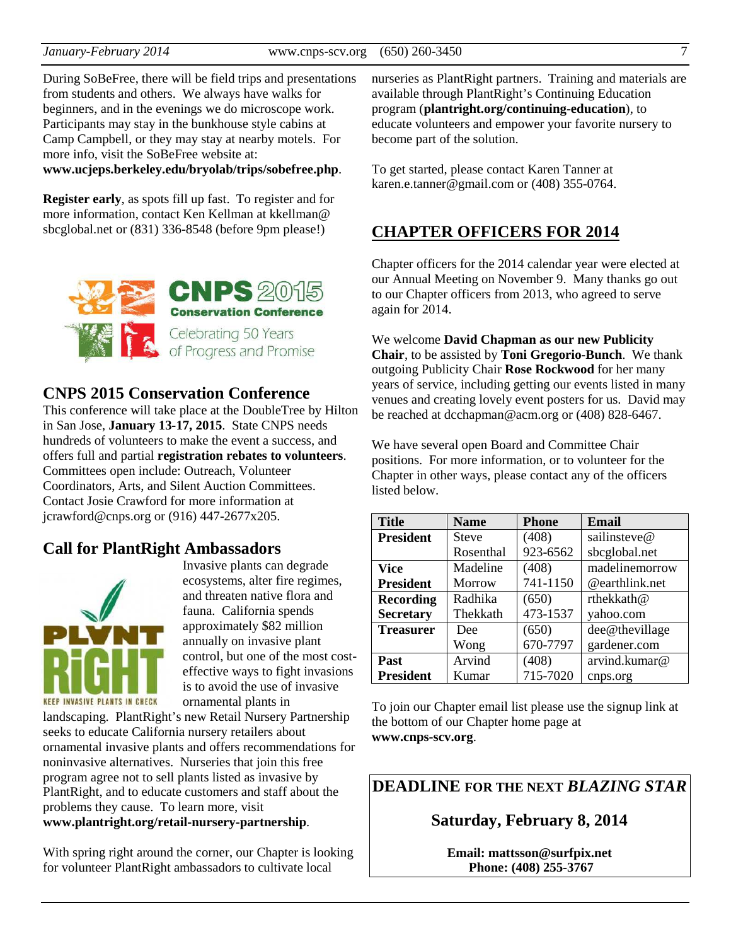During SoBeFree, there will be field trips and presentations from students and others. We always have walks for beginners, and in the evenings we do microscope work. Participants may stay in the bunkhouse style cabins at Camp Campbell, or they may stay at nearby motels. For more info, visit the SoBeFree website at: **www.ucjeps.berkeley.edu/bryolab/trips/sobefree.php**.

**Register early**, as spots fill up fast. To register and for more information, contact Ken Kellman at kkellman@ sbcglobal.net or (831) 336-8548 (before 9pm please!)



## **CNPS 2015 Conservation Conference**

This conference will take place at the DoubleTree by Hilton in San Jose, **January 13-17, 2015**. State CNPS needs hundreds of volunteers to make the event a success, and offers full and partial **registration rebates to volunteers**. Committees open include: Outreach, Volunteer Coordinators, Arts, and Silent Auction Committees. Contact Josie Crawford for more information at jcrawford@cnps.org or (916) 447-2677x205.

## **Call for PlantRight Ambassadors**



Invasive plants can degrade ecosystems, alter fire regimes, and threaten native flora and fauna. California spends approximately \$82 million annually on invasive plant control, but one of the most costeffective ways to fight invasions is to avoid the use of invasive ornamental plants in

landscaping. PlantRight's new Retail Nursery Partnership seeks to educate California nursery retailers about ornamental invasive plants and offers recommendations for noninvasive alternatives. Nurseries that join this free program agree not to sell plants listed as invasive by PlantRight, and to educate customers and staff about the problems they cause. To learn more, visit

**www.plantright.org/retail-nursery-partnership**.

With spring right around the corner, our Chapter is looking for volunteer PlantRight ambassadors to cultivate local

nurseries as PlantRight partners. Training and materials are available through PlantRight's Continuing Education program (**plantright.org/continuing-education**), to educate volunteers and empower your favorite nursery to become part of the solution.

To get started, please contact Karen Tanner at karen.e.tanner@gmail.com or (408) 355-0764.

## **CHAPTER OFFICERS FOR 2014**

Chapter officers for the 2014 calendar year were elected at our Annual Meeting on November 9. Many thanks go out to our Chapter officers from 2013, who agreed to serve again for 2014.

We welcome **David Chapman as our new Publicity Chair**, to be assisted by **Toni Gregorio-Bunch**. We thank outgoing Publicity Chair **Rose Rockwood** for her many years of service, including getting our events listed in many venues and creating lovely event posters for us. David may be reached at dcchapman@acm.org or (408) 828-6467.

We have several open Board and Committee Chair positions. For more information, or to volunteer for the Chapter in other ways, please contact any of the officers listed below.

| <b>Title</b>     | <b>Name</b>  | <b>Phone</b> | <b>Email</b>   |
|------------------|--------------|--------------|----------------|
| <b>President</b> | <b>Steve</b> | (408)        | sailinsteve@   |
|                  | Rosenthal    | 923-6562     | sbcglobal.net  |
| <b>Vice</b>      | Madeline     | (408)        | madelinemorrow |
| <b>President</b> | Morrow       | 741-1150     | @earthlink.net |
| <b>Recording</b> | Radhika      | (650)        | rthekkath@     |
| <b>Secretary</b> | Thekkath     | 473-1537     | yahoo.com      |
| <b>Treasurer</b> | Dee          | (650)        | dee@thevillage |
|                  | Wong         | 670-7797     | gardener.com   |
| Past             | Arvind       | (408)        | arvind.kumar@  |
| <b>President</b> | Kumar        | 715-7020     | cnps.org       |

To join our Chapter email list please use the signup link at the bottom of our Chapter home page at **www.cnps-scv.org**.

**DEADLINE FOR THE NEXT** *BLAZING STAR* 

**Saturday, February 8, 2014** 

**Email: mattsson@surfpix.net Phone: (408) 255-3767**